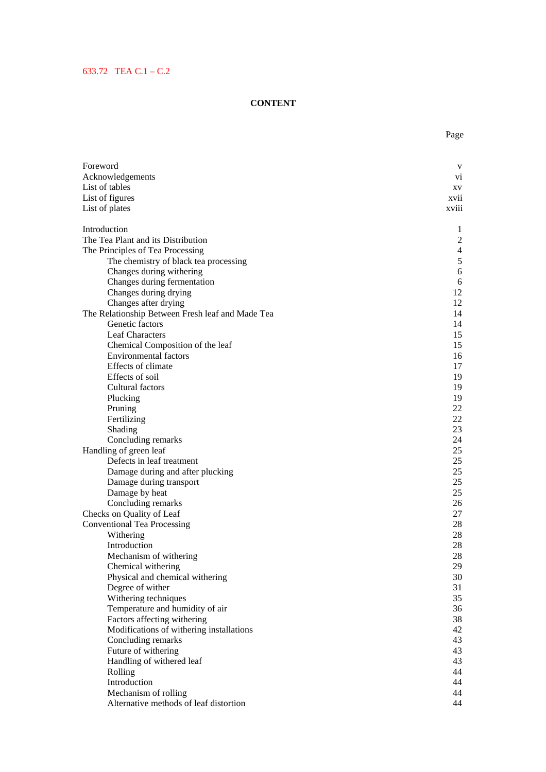## 633.72 TEA C.1 – C.2

## **CONTENT**

| Foreword                                         | V              |
|--------------------------------------------------|----------------|
| Acknowledgements                                 | V1             |
| List of tables                                   | XV.            |
| List of figures                                  | xvii           |
| List of plates                                   | <b>XV111</b>   |
| Introduction                                     | 1              |
| The Tea Plant and its Distribution               | $\overline{c}$ |
| The Principles of Tea Processing                 | $\overline{4}$ |
| The chemistry of black tea processing            | $\mathfrak s$  |
| Changes during withering                         | $\sqrt{6}$     |
| Changes during fermentation                      | 6              |
| Changes during drying                            | 12             |
| Changes after drying                             | 12             |
| The Relationship Between Fresh leaf and Made Tea | 14             |
| Genetic factors                                  | 14             |
| Leaf Characters                                  | 15             |
| Chemical Composition of the leaf                 | 15             |
| <b>Environmental factors</b>                     | 16             |
| Effects of climate<br>Effects of soil            | 17             |
|                                                  | 19             |
| Cultural factors                                 | 19<br>19       |
| Plucking<br>Pruning                              | 22             |
| Fertilizing                                      | 22             |
| Shading                                          | 23             |
| Concluding remarks                               | 24             |
| Handling of green leaf                           | 25             |
| Defects in leaf treatment                        | 25             |
| Damage during and after plucking                 | 25             |
| Damage during transport                          | 25             |
| Damage by heat                                   | 25             |
| Concluding remarks                               | 26             |
| Checks on Quality of Leaf                        | 27             |
| <b>Conventional Tea Processing</b>               | 28             |
| Withering                                        | 28             |
| Introduction                                     | 28             |
| Mechanism of withering                           | 28             |
| Chemical withering                               | 29             |
| Physical and chemical withering                  | 30             |
| Degree of wither                                 | 31             |
| Withering techniques                             | 35             |
| Temperature and humidity of air                  | 36             |
| Factors affecting withering                      | 38             |
| Modifications of withering installations         | 42             |
| Concluding remarks                               | 43             |
| Future of withering                              | 43             |
| Handling of withered leaf                        | 43             |
| Rolling                                          | 44             |
| Introduction                                     | 44             |
| Mechanism of rolling                             | 44             |
| Alternative methods of leaf distortion           | 44             |

Page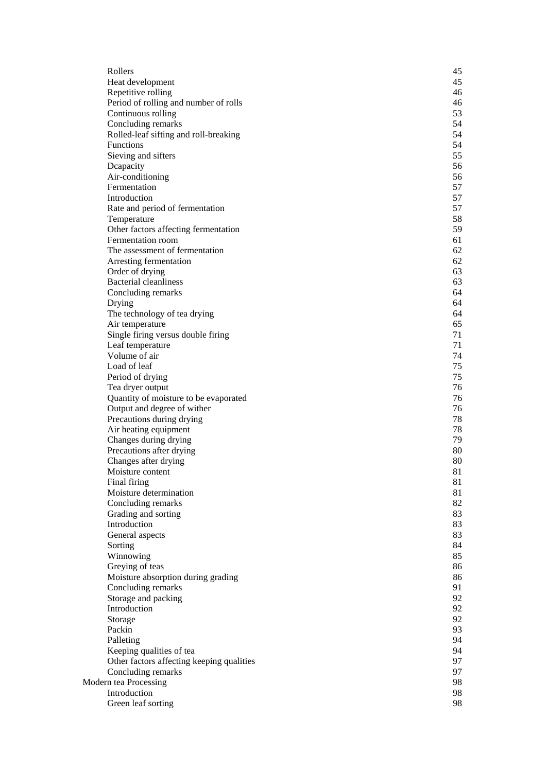| Rollers                                   | 45 |
|-------------------------------------------|----|
| Heat development                          | 45 |
| Repetitive rolling                        | 46 |
| Period of rolling and number of rolls     | 46 |
| Continuous rolling                        | 53 |
| Concluding remarks                        | 54 |
| Rolled-leaf sifting and roll-breaking     | 54 |
| Functions                                 | 54 |
| Sieving and sifters                       | 55 |
| Dcapacity                                 | 56 |
| Air-conditioning                          | 56 |
| Fermentation                              | 57 |
| Introduction                              | 57 |
| Rate and period of fermentation           | 57 |
| Temperature                               | 58 |
| Other factors affecting fermentation      | 59 |
| Fermentation room                         | 61 |
| The assessment of fermentation            | 62 |
| Arresting fermentation                    | 62 |
| Order of drying                           | 63 |
| <b>Bacterial cleanliness</b>              | 63 |
| Concluding remarks                        | 64 |
| Drying                                    | 64 |
| The technology of tea drying              | 64 |
| Air temperature                           | 65 |
| Single firing versus double firing        | 71 |
| Leaf temperature                          | 71 |
| Volume of air                             | 74 |
| Load of leaf                              | 75 |
| Period of drying                          | 75 |
| Tea dryer output                          | 76 |
| Quantity of moisture to be evaporated     | 76 |
| Output and degree of wither               | 76 |
| Precautions during drying                 | 78 |
| Air heating equipment                     | 78 |
| Changes during drying                     | 79 |
| Precautions after drying                  | 80 |
| Changes after drying                      | 80 |
| Moisture content                          | 81 |
| Final firing                              | 81 |
| Moisture determination                    | 81 |
| Concluding remarks                        | 82 |
| Grading and sorting                       | 83 |
| Introduction                              | 83 |
| General aspects                           | 83 |
| Sorting                                   | 84 |
| Winnowing                                 | 85 |
| Greying of teas                           | 86 |
| Moisture absorption during grading        | 86 |
| Concluding remarks                        | 91 |
| Storage and packing                       | 92 |
| Introduction                              | 92 |
| Storage                                   | 92 |
| Packin                                    | 93 |
| Palleting                                 | 94 |
| Keeping qualities of tea                  | 94 |
| Other factors affecting keeping qualities | 97 |
| Concluding remarks                        | 97 |
| Modern tea Processing                     | 98 |
| Introduction                              | 98 |
| Green leaf sorting                        | 98 |
|                                           |    |